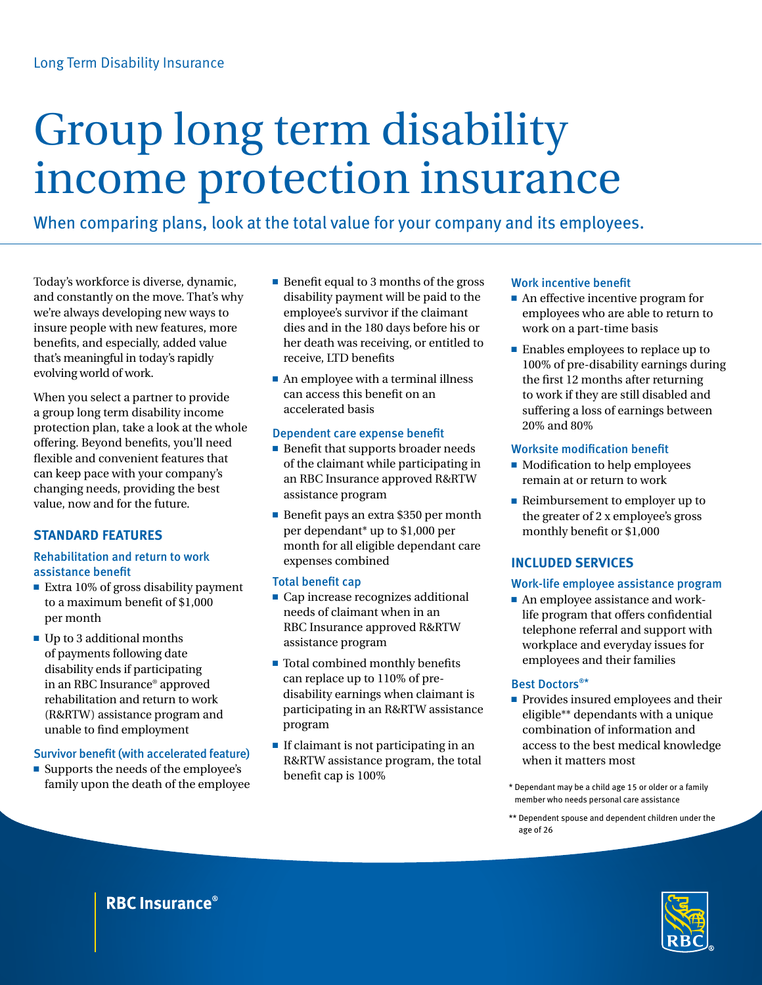# Group long term disability income protection insurance

When comparing plans, look at the total value for your company and its employees.

Today's workforce is diverse, dynamic, and constantly on the move. That's why we're always developing new ways to insure people with new features, more benefits, and especially, added value that's meaningful in today's rapidly evolving world of work.

When you select a partner to provide a group long term disability income protection plan, take a look at the whole offering. Beyond benefits, you'll need flexible and convenient features that can keep pace with your company's changing needs, providing the best value, now and for the future.

# **Standard features**

# Rehabilitation and return to work assistance benefit

- Extra 10% of gross disability payment to a maximum benefit of \$1,000 per month
- $\blacksquare$  Up to 3 additional months of payments following date disability ends if participating in an RBC Insurance® approved rehabilitation and return to work (R&RTW) assistance program and unable to find employment

# Survivor benefit (with accelerated feature)

■ Supports the needs of the employee's family upon the death of the employee

- $\blacksquare$  Benefit equal to 3 months of the gross disability payment will be paid to the employee's survivor if the claimant dies and in the 180 days before his or her death was receiving, or entitled to receive, LTD benefits
- $\blacksquare$  An employee with a terminal illness can access this benefit on an accelerated basis

#### Dependent care expense benefit

- $\blacksquare$  Benefit that supports broader needs of the claimant while participating in an RBC Insurance approved R&RTW assistance program
- Benefit pays an extra \$350 per month per dependant\* up to \$1,000 per month for all eligible dependant care expenses combined

#### Total benefit cap

- $\blacksquare$  Cap increase recognizes additional needs of claimant when in an RBC Insurance approved R&RTW assistance program
- $\blacksquare$  Total combined monthly benefits can replace up to 110% of predisability earnings when claimant is participating in an R&RTW assistance program
- $\blacksquare$  If claimant is not participating in an R&RTW assistance program, the total benefit cap is 100%

# Work incentive benefit

- $\blacksquare$  An effective incentive program for employees who are able to return to work on a part-time basis
- $\blacksquare$  Enables employees to replace up to 100% of pre-disability earnings during the first 12 months after returning to work if they are still disabled and suffering a loss of earnings between 20% and 80%

# Worksite modification benefit

- Modification to help employees remain at or return to work
- $\blacksquare$  Reimbursement to employer up to the greater of 2 x employee's gross monthly benefit or \$1,000

# **Included services**

# Work-life employee assistance program

■ An employee assistance and worklife program that offers confidential telephone referral and support with workplace and everyday issues for employees and their families

# Best Doctors®\*

- **Provides insured employees and their** eligible\*\* dependants with a unique combination of information and access to the best medical knowledge when it matters most
- \* Dependant may be a child age 15 or older or a family member who needs personal care assistance
- \*\* Dependent spouse and dependent children under the age of 26



# **RBC Insurance<sup>®</sup>**